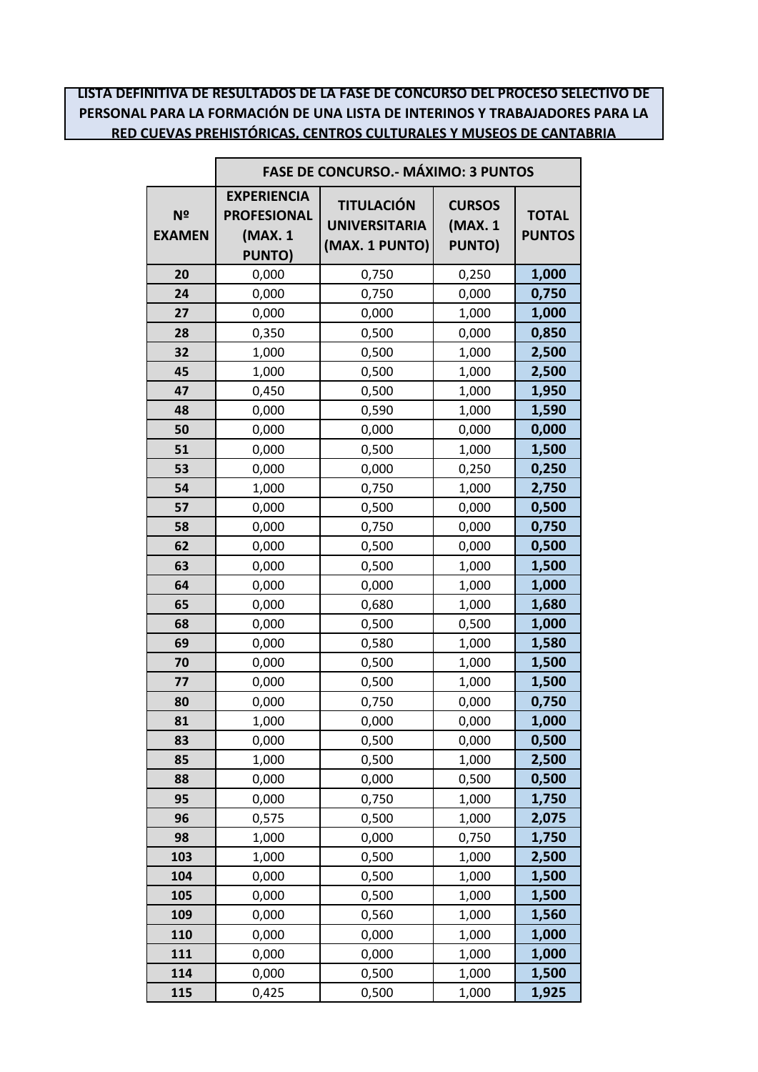## **LISTA DEFINITIVA DE RESULTADOS DE LA FASE DE CONCURSO DEL PROCESO SELECTIVO DE PERSONAL PARA LA FORMACIÓN DE UNA LISTA DE INTERINOS Y TRABAJADORES PARA LA RED CUEVAS PREHISTÓRICAS, CENTROS CULTURALES Y MUSEOS DE CANTABRIA**

|                     | <b>FASE DE CONCURSO.- MÁXIMO: 3 PUNTOS</b>                           |                                                             |                                           |                               |
|---------------------|----------------------------------------------------------------------|-------------------------------------------------------------|-------------------------------------------|-------------------------------|
| Nº<br><b>EXAMEN</b> | <b>EXPERIENCIA</b><br><b>PROFESIONAL</b><br>(MAX. 1<br><b>PUNTO)</b> | <b>TITULACIÓN</b><br><b>UNIVERSITARIA</b><br>(MAX. 1 PUNTO) | <b>CURSOS</b><br>(MAX. 1<br><b>PUNTO)</b> | <b>TOTAL</b><br><b>PUNTOS</b> |
| 20                  | 0,000                                                                | 0,750                                                       | 0,250                                     | 1,000                         |
| 24                  | 0,000                                                                | 0,750                                                       | 0,000                                     | 0,750                         |
| 27                  | 0,000                                                                | 0,000                                                       | 1,000                                     | 1,000                         |
| 28                  | 0,350                                                                | 0,500                                                       | 0,000                                     | 0,850                         |
| 32                  | 1,000                                                                | 0,500                                                       | 1,000                                     | 2,500                         |
| 45                  | 1,000                                                                | 0,500                                                       | 1,000                                     | 2,500                         |
| 47                  | 0,450                                                                | 0,500                                                       | 1,000                                     | 1,950                         |
| 48                  | 0,000                                                                | 0,590                                                       | 1,000                                     | 1,590                         |
| 50                  | 0,000                                                                | 0,000                                                       | 0,000                                     | 0,000                         |
| 51                  | 0,000                                                                | 0,500                                                       | 1,000                                     | 1,500                         |
| 53                  | 0,000                                                                | 0,000                                                       | 0,250                                     | 0,250                         |
| 54                  | 1,000                                                                | 0,750                                                       | 1,000                                     | 2,750                         |
| 57                  | 0,000                                                                | 0,500                                                       | 0,000                                     | 0,500                         |
| 58                  | 0,000                                                                | 0,750                                                       | 0,000                                     | 0,750                         |
| 62                  | 0,000                                                                | 0,500                                                       | 0,000                                     | 0,500                         |
| 63                  | 0,000                                                                | 0,500                                                       | 1,000                                     | 1,500                         |
| 64                  | 0,000                                                                | 0,000                                                       | 1,000                                     | 1,000                         |
| 65                  | 0,000                                                                | 0,680                                                       | 1,000                                     | 1,680                         |
| 68                  | 0,000                                                                | 0,500                                                       | 0,500                                     | 1,000                         |
| 69                  | 0,000                                                                | 0,580                                                       | 1,000                                     | 1,580                         |
| 70                  | 0,000                                                                | 0,500                                                       | 1,000                                     | 1,500                         |
| 77                  | 0,000                                                                | 0,500                                                       | 1,000                                     | 1,500                         |
| 80                  | 0,000                                                                | 0,750                                                       | 0,000                                     | 0,750                         |
| 81                  | 1,000                                                                | 0,000                                                       | 0,000                                     | 1,000                         |
| 83                  | 0,000                                                                | 0,500                                                       | 0,000                                     | 0,500                         |
| 85                  | 1,000                                                                | 0,500                                                       | 1,000                                     | 2,500                         |
| 88                  | 0,000                                                                | 0,000                                                       | 0,500                                     | 0,500                         |
| 95                  | 0,000                                                                | 0,750                                                       | 1,000                                     | 1,750                         |
| 96                  | 0,575                                                                | 0,500                                                       | 1,000                                     | 2,075                         |
| 98                  | 1,000                                                                | 0,000                                                       | 0,750                                     | 1,750                         |
| 103                 | 1,000                                                                | 0,500                                                       | 1,000                                     | 2,500                         |
| 104                 | 0,000                                                                | 0,500                                                       | 1,000                                     | 1,500                         |
| 105                 | 0,000                                                                | 0,500                                                       | 1,000                                     | 1,500                         |
| 109                 | 0,000                                                                | 0,560                                                       | 1,000                                     | 1,560                         |
| 110                 | 0,000                                                                | 0,000                                                       | 1,000                                     | 1,000                         |
| 111                 | 0,000                                                                | 0,000                                                       | 1,000                                     | 1,000                         |
| 114                 | 0,000                                                                | 0,500                                                       | 1,000                                     | 1,500                         |
| 115                 | 0,425                                                                | 0,500                                                       | 1,000                                     | 1,925                         |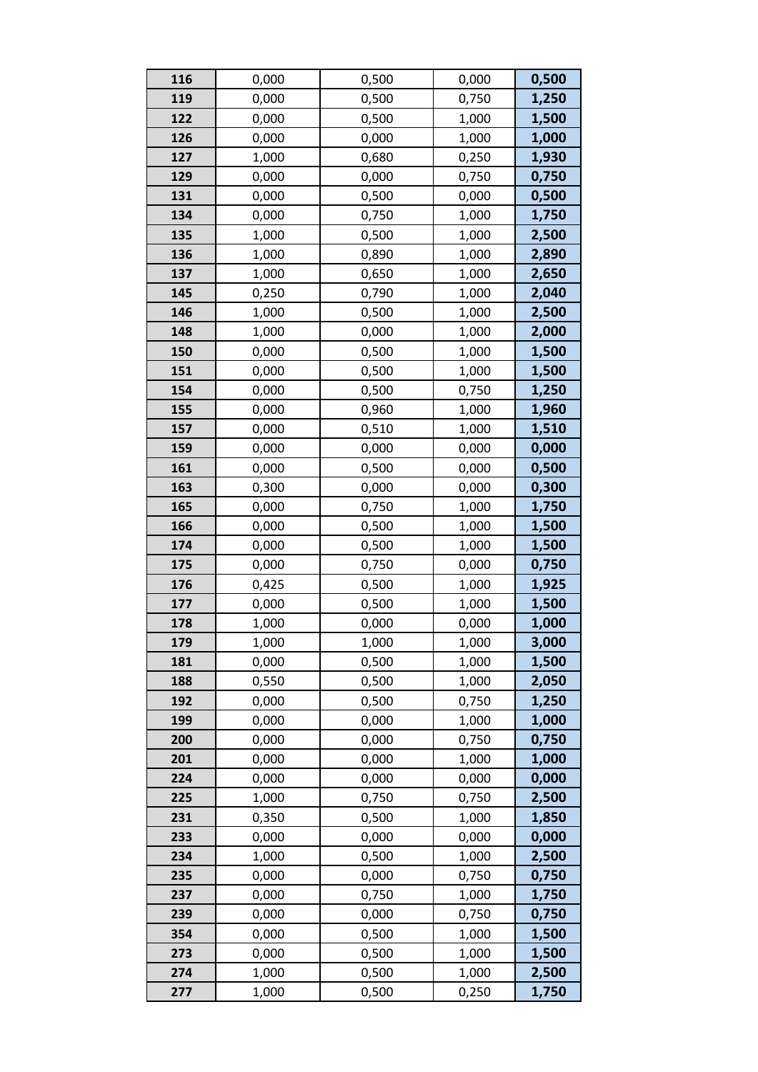| 116 | 0,000 | 0,500 | 0,000 | 0,500 |
|-----|-------|-------|-------|-------|
| 119 | 0,000 | 0,500 | 0,750 | 1,250 |
| 122 | 0,000 | 0,500 | 1,000 | 1,500 |
| 126 | 0,000 | 0,000 | 1,000 | 1,000 |
| 127 | 1,000 | 0,680 | 0,250 | 1,930 |
| 129 | 0,000 | 0,000 | 0,750 | 0,750 |
| 131 | 0,000 | 0,500 | 0,000 | 0,500 |
| 134 | 0,000 | 0,750 | 1,000 | 1,750 |
| 135 | 1,000 | 0,500 | 1,000 | 2,500 |
| 136 | 1,000 | 0,890 | 1,000 | 2,890 |
| 137 | 1,000 | 0,650 | 1,000 | 2,650 |
| 145 | 0,250 | 0,790 | 1,000 | 2,040 |
| 146 | 1,000 | 0,500 | 1,000 | 2,500 |
| 148 | 1,000 | 0,000 | 1,000 | 2,000 |
| 150 | 0,000 | 0,500 | 1,000 | 1,500 |
| 151 | 0,000 | 0,500 | 1,000 | 1,500 |
| 154 | 0,000 | 0,500 | 0,750 | 1,250 |
| 155 | 0,000 | 0,960 | 1,000 | 1,960 |
| 157 | 0,000 | 0,510 | 1,000 | 1,510 |
| 159 | 0,000 | 0,000 | 0,000 | 0,000 |
| 161 | 0,000 | 0,500 | 0,000 | 0,500 |
| 163 | 0,300 | 0,000 | 0,000 | 0,300 |
| 165 | 0,000 | 0,750 | 1,000 | 1,750 |
| 166 | 0,000 | 0,500 | 1,000 | 1,500 |
| 174 | 0,000 | 0,500 | 1,000 | 1,500 |
| 175 | 0,000 | 0,750 | 0,000 | 0,750 |
| 176 | 0,425 | 0,500 | 1,000 | 1,925 |
| 177 | 0,000 | 0,500 | 1,000 | 1,500 |
| 178 | 1,000 | 0,000 | 0,000 | 1,000 |
| 179 | 1,000 | 1,000 | 1,000 | 3,000 |
| 181 | 0,000 | 0,500 | 1,000 | 1,500 |
| 188 | 0,550 | 0,500 | 1,000 | 2,050 |
| 192 | 0,000 | 0,500 | 0,750 | 1,250 |
| 199 | 0,000 | 0,000 | 1,000 | 1,000 |
| 200 | 0,000 | 0,000 | 0,750 | 0,750 |
| 201 | 0,000 | 0,000 | 1,000 | 1,000 |
| 224 | 0,000 | 0,000 | 0,000 | 0,000 |
| 225 | 1,000 | 0,750 | 0,750 | 2,500 |
| 231 | 0,350 | 0,500 | 1,000 | 1,850 |
| 233 | 0,000 | 0,000 | 0,000 | 0,000 |
| 234 | 1,000 | 0,500 | 1,000 | 2,500 |
| 235 | 0,000 | 0,000 | 0,750 | 0,750 |
| 237 | 0,000 | 0,750 | 1,000 | 1,750 |
| 239 | 0,000 | 0,000 | 0,750 | 0,750 |
| 354 | 0,000 | 0,500 | 1,000 | 1,500 |
| 273 | 0,000 | 0,500 | 1,000 | 1,500 |
| 274 | 1,000 | 0,500 | 1,000 | 2,500 |
| 277 | 1,000 | 0,500 | 0,250 | 1,750 |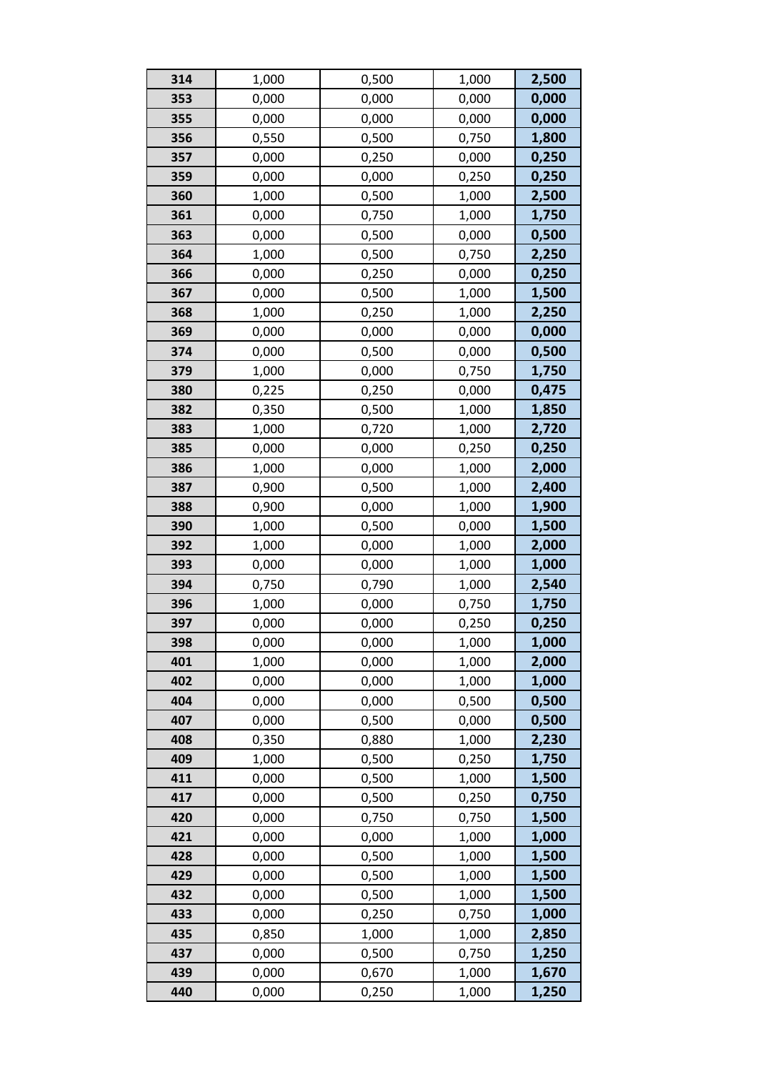| 314 | 1,000 | 0,500 | 1,000 | 2,500 |
|-----|-------|-------|-------|-------|
| 353 | 0,000 | 0,000 | 0,000 | 0,000 |
| 355 | 0,000 | 0,000 | 0,000 | 0,000 |
| 356 | 0,550 | 0,500 | 0,750 | 1,800 |
| 357 | 0,000 | 0,250 | 0,000 | 0,250 |
| 359 | 0,000 | 0,000 | 0,250 | 0,250 |
| 360 | 1,000 | 0,500 | 1,000 | 2,500 |
| 361 | 0,000 | 0,750 | 1,000 | 1,750 |
| 363 | 0,000 | 0,500 | 0,000 | 0,500 |
| 364 | 1,000 | 0,500 | 0,750 | 2,250 |
| 366 | 0,000 | 0,250 | 0,000 | 0,250 |
| 367 | 0,000 | 0,500 | 1,000 | 1,500 |
| 368 | 1,000 | 0,250 | 1,000 | 2,250 |
| 369 | 0,000 | 0,000 | 0,000 | 0,000 |
| 374 | 0,000 | 0,500 | 0,000 | 0,500 |
| 379 | 1,000 | 0,000 | 0,750 | 1,750 |
| 380 | 0,225 | 0,250 | 0,000 | 0,475 |
| 382 | 0,350 | 0,500 | 1,000 | 1,850 |
| 383 | 1,000 | 0,720 | 1,000 | 2,720 |
| 385 | 0,000 | 0,000 | 0,250 | 0,250 |
| 386 | 1,000 | 0,000 | 1,000 | 2,000 |
| 387 | 0,900 | 0,500 | 1,000 | 2,400 |
| 388 | 0,900 | 0,000 | 1,000 | 1,900 |
| 390 | 1,000 | 0,500 | 0,000 | 1,500 |
| 392 | 1,000 | 0,000 | 1,000 | 2,000 |
| 393 | 0,000 | 0,000 | 1,000 | 1,000 |
| 394 | 0,750 | 0,790 | 1,000 | 2,540 |
| 396 | 1,000 | 0,000 | 0,750 | 1,750 |
| 397 | 0,000 | 0,000 | 0,250 | 0,250 |
| 398 | 0,000 | 0,000 | 1,000 | 1,000 |
| 401 | 1,000 | 0,000 | 1,000 | 2,000 |
| 402 | 0,000 | 0,000 | 1,000 | 1,000 |
| 404 | 0,000 | 0,000 | 0,500 | 0,500 |
| 407 | 0,000 | 0,500 | 0,000 | 0,500 |
| 408 | 0,350 | 0,880 | 1,000 | 2,230 |
| 409 | 1,000 | 0,500 | 0,250 | 1,750 |
| 411 | 0,000 | 0,500 | 1,000 | 1,500 |
| 417 | 0,000 | 0,500 | 0,250 | 0,750 |
| 420 | 0,000 | 0,750 | 0,750 | 1,500 |
| 421 | 0,000 | 0,000 | 1,000 | 1,000 |
| 428 | 0,000 | 0,500 | 1,000 | 1,500 |
| 429 | 0,000 | 0,500 | 1,000 | 1,500 |
| 432 | 0,000 | 0,500 | 1,000 | 1,500 |
| 433 | 0,000 | 0,250 | 0,750 | 1,000 |
| 435 | 0,850 | 1,000 | 1,000 | 2,850 |
| 437 | 0,000 | 0,500 | 0,750 | 1,250 |
| 439 | 0,000 | 0,670 | 1,000 | 1,670 |
| 440 | 0,000 | 0,250 | 1,000 | 1,250 |